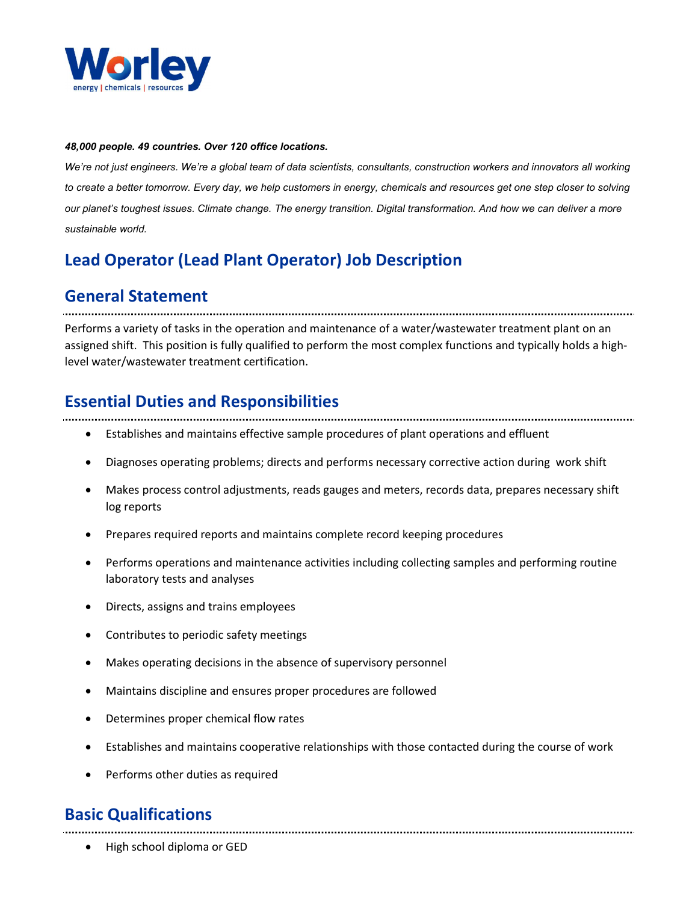

#### 48,000 people. 49 countries. Over 120 office locations.

We're not just engineers. We're a global team of data scientists, consultants, construction workers and innovators all working to create a better tomorrow. Every day, we help customers in energy, chemicals and resources get one step closer to solving our planet's toughest issues. Climate change. The energy transition. Digital transformation. And how we can deliver a more sustainable world.

# Lead Operator (Lead Plant Operator) Job Description

## General Statement

Performs a variety of tasks in the operation and maintenance of a water/wastewater treatment plant on an assigned shift. This position is fully qualified to perform the most complex functions and typically holds a highlevel water/wastewater treatment certification.

## Essential Duties and Responsibilities

- Establishes and maintains effective sample procedures of plant operations and effluent
- Diagnoses operating problems; directs and performs necessary corrective action during work shift
- Makes process control adjustments, reads gauges and meters, records data, prepares necessary shift log reports
- Prepares required reports and maintains complete record keeping procedures
- Performs operations and maintenance activities including collecting samples and performing routine laboratory tests and analyses
- Directs, assigns and trains employees
- Contributes to periodic safety meetings
- Makes operating decisions in the absence of supervisory personnel
- Maintains discipline and ensures proper procedures are followed
- Determines proper chemical flow rates
- Establishes and maintains cooperative relationships with those contacted during the course of work
- Performs other duties as required

# Basic Qualifications

High school diploma or GED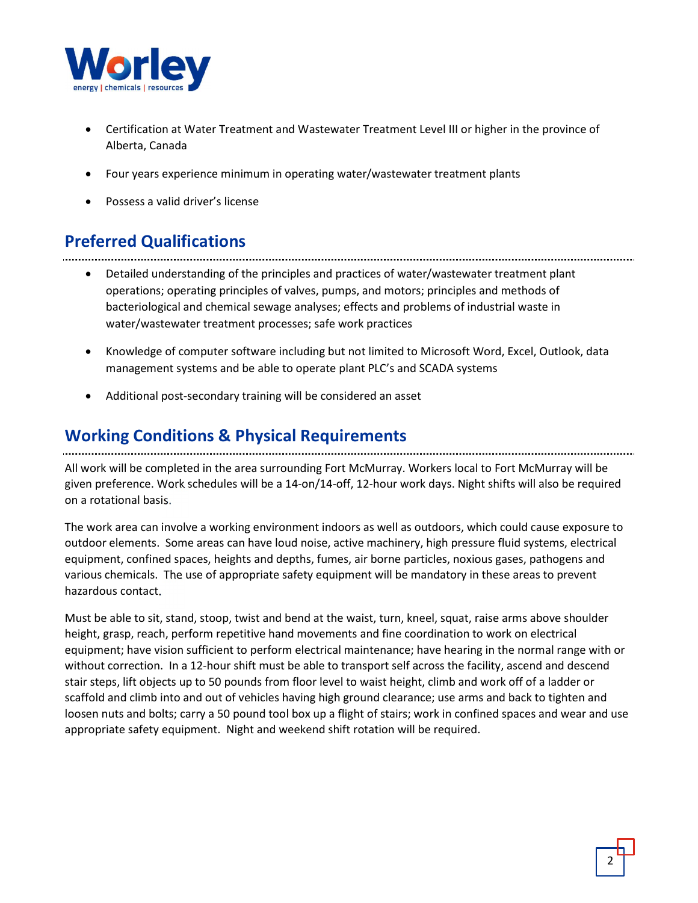

- Certification at Water Treatment and Wastewater Treatment Level III or higher in the province of Alberta, Canada
- Four years experience minimum in operating water/wastewater treatment plants
- Possess a valid driver's license

# Preferred Qualifications

- Detailed understanding of the principles and practices of water/wastewater treatment plant operations; operating principles of valves, pumps, and motors; principles and methods of bacteriological and chemical sewage analyses; effects and problems of industrial waste in water/wastewater treatment processes; safe work practices
- Knowledge of computer software including but not limited to Microsoft Word, Excel, Outlook, data management systems and be able to operate plant PLC's and SCADA systems
- Additional post-secondary training will be considered an asset

# Working Conditions & Physical Requirements

All work will be completed in the area surrounding Fort McMurray. Workers local to Fort McMurray will be given preference. Work schedules will be a 14-on/14-off, 12-hour work days. Night shifts will also be required on a rotational basis.

The work area can involve a working environment indoors as well as outdoors, which could cause exposure to outdoor elements. Some areas can have loud noise, active machinery, high pressure fluid systems, electrical equipment, confined spaces, heights and depths, fumes, air borne particles, noxious gases, pathogens and various chemicals. The use of appropriate safety equipment will be mandatory in these areas to prevent hazardous contact.

Must be able to sit, stand, stoop, twist and bend at the waist, turn, kneel, squat, raise arms above shoulder height, grasp, reach, perform repetitive hand movements and fine coordination to work on electrical equipment; have vision sufficient to perform electrical maintenance; have hearing in the normal range with or without correction. In a 12-hour shift must be able to transport self across the facility, ascend and descend stair steps, lift objects up to 50 pounds from floor level to waist height, climb and work off of a ladder or scaffold and climb into and out of vehicles having high ground clearance; use arms and back to tighten and loosen nuts and bolts; carry a 50 pound tool box up a flight of stairs; work in confined spaces and wear and use appropriate safety equipment. Night and weekend shift rotation will be required.